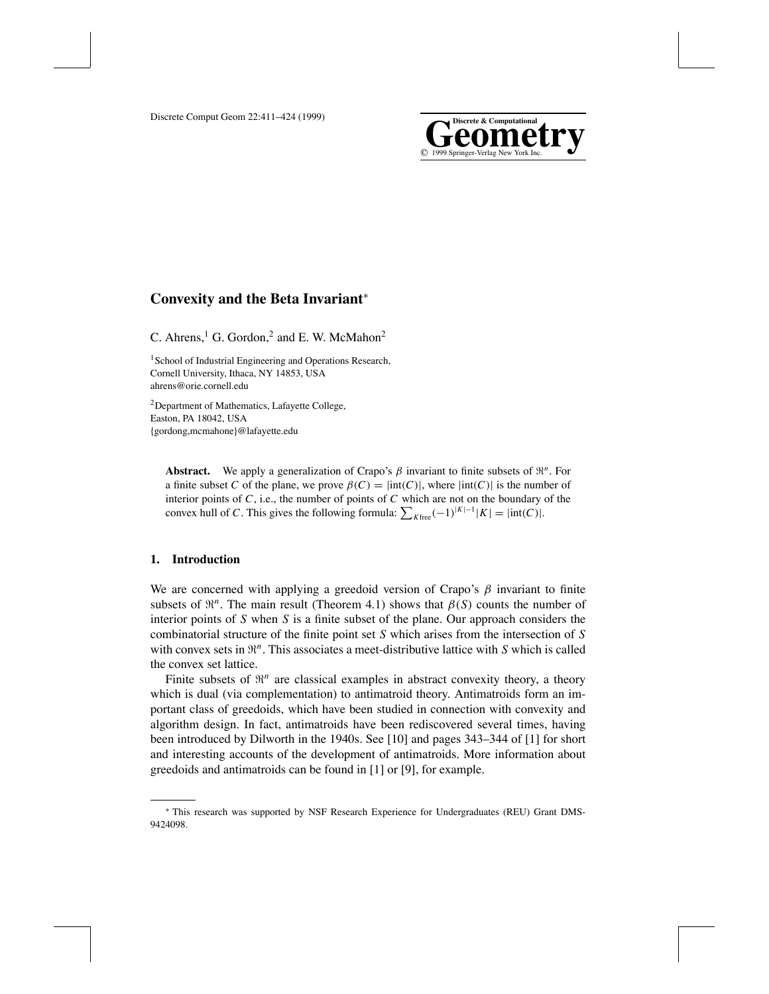

# **Convexity and the Beta Invariant**<sup>∗</sup>

C. Ahrens,<sup>1</sup> G. Gordon,<sup>2</sup> and E. W. McMahon<sup>2</sup>

<sup>1</sup> School of Industrial Engineering and Operations Research, Cornell University, Ithaca, NY 14853, USA ahrens@orie.cornell.edu

2Department of Mathematics, Lafayette College, Easton, PA 18042, USA {gordong,mcmahone}@lafayette.edu

**Abstract.** We apply a generalization of Crapo's  $\beta$  invariant to finite subsets of  $\mathbb{R}^n$ . For a finite subset *C* of the plane, we prove  $\beta(C) = |int(C)|$ , where  $|int(C)|$  is the number of interior points of *C*, i.e., the number of points of *C* which are not on the boundary of the convex hull of *C*. This gives the following formula:  $\sum_{K \text{free}} (-1)^{|K|-1} |K| = |\text{int}(C)|$ .

# **1. Introduction**

We are concerned with applying a greedoid version of Crapo's  $\beta$  invariant to finite subsets of  $\mathbb{R}^n$ . The main result (Theorem 4.1) shows that  $\beta(S)$  counts the number of interior points of *S* when *S* is a finite subset of the plane. Our approach considers the combinatorial structure of the finite point set *S* which arises from the intersection of *S* with convex sets in  $\mathfrak{R}^n$ . This associates a meet-distributive lattice with *S* which is called the convex set lattice.

Finite subsets of  $\mathbb{R}^n$  are classical examples in abstract convexity theory, a theory which is dual (via complementation) to antimatroid theory. Antimatroids form an important class of greedoids, which have been studied in connection with convexity and algorithm design. In fact, antimatroids have been rediscovered several times, having been introduced by Dilworth in the 1940s. See [10] and pages 343–344 of [1] for short and interesting accounts of the development of antimatroids. More information about greedoids and antimatroids can be found in [1] or [9], for example.

<sup>∗</sup> This research was supported by NSF Research Experience for Undergraduates (REU) Grant DMS-9424098.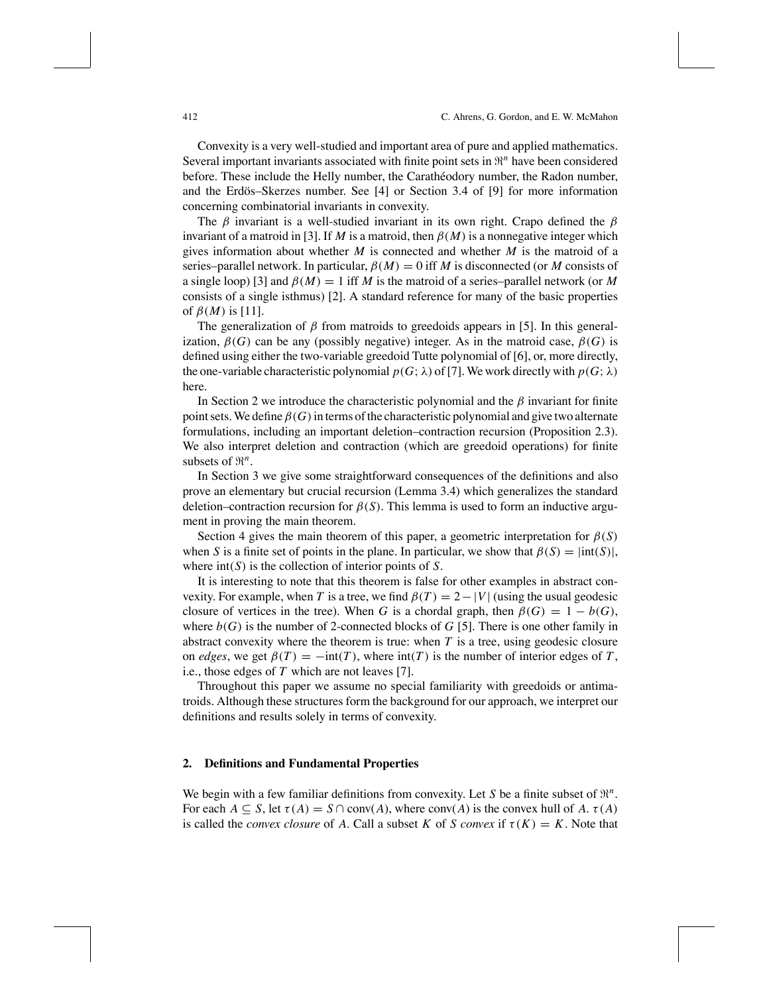Convexity is a very well-studied and important area of pure and applied mathematics. Several important invariants associated with finite point sets in  $\mathbb{R}^n$  have been considered before. These include the Helly number, the Caratheodory number, the Radon number, and the Erdös–Skerzes number. See  $[4]$  or Section 3.4 of  $[9]$  for more information concerning combinatorial invariants in convexity.

The  $\beta$  invariant is a well-studied invariant in its own right. Crapo defined the  $\beta$ invariant of a matroid in [3]. If *M* is a matroid, then  $\beta(M)$  is a nonnegative integer which gives information about whether *M* is connected and whether *M* is the matroid of a series–parallel network. In particular,  $\beta(M) = 0$  iff *M* is disconnected (or *M* consists of a single loop) [3] and  $\beta(M) = 1$  iff *M* is the matroid of a series–parallel network (or *M* consists of a single isthmus) [2]. A standard reference for many of the basic properties of  $\beta(M)$  is [11].

The generalization of  $\beta$  from matroids to greedoids appears in [5]. In this generalization,  $\beta(G)$  can be any (possibly negative) integer. As in the matroid case,  $\beta(G)$  is defined using either the two-variable greedoid Tutte polynomial of [6], or, more directly, the one-variable characteristic polynomial  $p(G; \lambda)$  of [7]. We work directly with  $p(G; \lambda)$ here.

In Section 2 we introduce the characteristic polynomial and the  $\beta$  invariant for finite point sets. We define  $\beta(G)$  in terms of the characteristic polynomial and give two alternate formulations, including an important deletion–contraction recursion (Proposition 2.3). We also interpret deletion and contraction (which are greedoid operations) for finite subsets of  $\mathbb{R}^n$ .

In Section 3 we give some straightforward consequences of the definitions and also prove an elementary but crucial recursion (Lemma 3.4) which generalizes the standard deletion–contraction recursion for  $\beta(S)$ . This lemma is used to form an inductive argument in proving the main theorem.

Section 4 gives the main theorem of this paper, a geometric interpretation for  $\beta(S)$ when *S* is a finite set of points in the plane. In particular, we show that  $\beta(S) = |int(S)|$ , where int(*S*) is the collection of interior points of *S*.

It is interesting to note that this theorem is false for other examples in abstract convexity. For example, when *T* is a tree, we find  $\beta(T) = 2 - |V|$  (using the usual geodesic closure of vertices in the tree). When *G* is a chordal graph, then  $\beta(G) = 1 - b(G)$ , where  $b(G)$  is the number of 2-connected blocks of  $G$  [5]. There is one other family in abstract convexity where the theorem is true: when *T* is a tree, using geodesic closure on *edges*, we get  $\beta(T) = -\text{int}(T)$ , where  $\text{int}(T)$  is the number of interior edges of *T*, i.e., those edges of *T* which are not leaves [7].

Throughout this paper we assume no special familiarity with greedoids or antimatroids. Although these structures form the background for our approach, we interpret our definitions and results solely in terms of convexity.

#### **2. Definitions and Fundamental Properties**

We begin with a few familiar definitions from convexity. Let *S* be a finite subset of  $\mathbb{R}^n$ . For each  $A \subseteq S$ , let  $\tau(A) = S \cap \text{conv}(A)$ , where  $\text{conv}(A)$  is the convex hull of A.  $\tau(A)$ is called the *convex closure* of *A*. Call a subset *K* of *S convex* if  $\tau(K) = K$ . Note that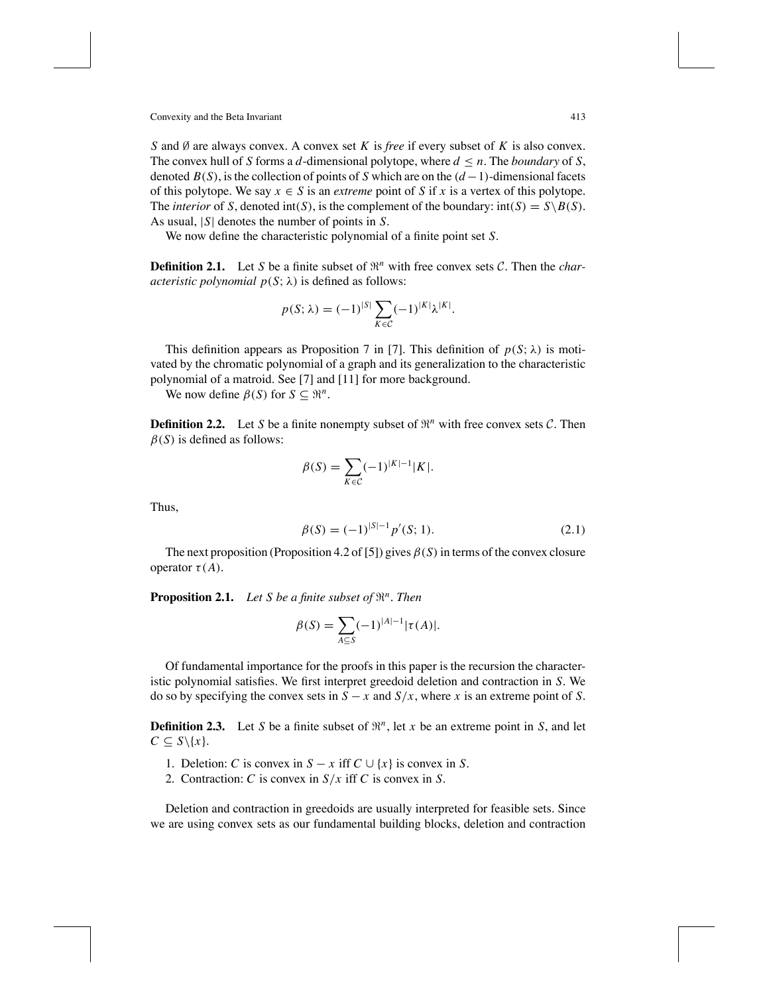*S* and Ø are always convex. A convex set *K* is *free* if every subset of *K* is also convex. The convex hull of *S* forms a *d*-dimensional polytope, where  $d \leq n$ . The *boundary* of *S*, denoted  $B(S)$ , is the collection of points of *S* which are on the  $(d-1)$ -dimensional facets of this polytope. We say  $x \in S$  is an *extreme* point of S if x is a vertex of this polytope. The *interior* of *S*, denoted  $int(S)$ , is the complement of the boundary:  $int(S) = S\{B(S)\}$ . As usual, |*S*| denotes the number of points in *S*.

We now define the characteristic polynomial of a finite point set *S*.

**Definition 2.1.** Let *S* be a finite subset of  $\mathbb{R}^n$  with free convex sets *C*. Then the *characteristic polynomial*  $p(S; \lambda)$  is defined as follows:

$$
p(S; \lambda) = (-1)^{|S|} \sum_{K \in \mathcal{C}} (-1)^{|K|} \lambda^{|K|}.
$$

This definition appears as Proposition 7 in [7]. This definition of  $p(S; \lambda)$  is motivated by the chromatic polynomial of a graph and its generalization to the characteristic polynomial of a matroid. See [7] and [11] for more background.

We now define  $\beta(S)$  for  $S \subseteq \mathbb{R}^n$ .

**Definition 2.2.** Let *S* be a finite nonempty subset of  $\mathbb{R}^n$  with free convex sets *C*. Then  $\beta(S)$  is defined as follows:

$$
\beta(S) = \sum_{K \in \mathcal{C}} (-1)^{|K|-1} |K|.
$$

Thus,

$$
\beta(S) = (-1)^{|S|-1} p'(S; 1). \tag{2.1}
$$

The next proposition (Proposition 4.2 of [5]) gives  $\beta(S)$  in terms of the convex closure operator  $\tau(A)$ .

**Proposition 2.1.** *Let S be a finite subset of*  $\mathbb{R}^n$ *. Then* 

$$
\beta(S) = \sum_{A \subseteq S} (-1)^{|A|-1} |\tau(A)|.
$$

Of fundamental importance for the proofs in this paper is the recursion the characteristic polynomial satisfies. We first interpret greedoid deletion and contraction in *S*. We do so by specifying the convex sets in  $S - x$  and  $S/x$ , where *x* is an extreme point of *S*.

**Definition 2.3.** Let *S* be a finite subset of  $\mathbb{R}^n$ , let *x* be an extreme point in *S*, and let  $C \subseteq S \setminus \{x\}.$ 

- 1. Deletion: *C* is convex in  $S x$  iff  $C \cup \{x\}$  is convex in *S*.
- 2. Contraction: *C* is convex in *S*/*x* iff *C* is convex in *S*.

Deletion and contraction in greedoids are usually interpreted for feasible sets. Since we are using convex sets as our fundamental building blocks, deletion and contraction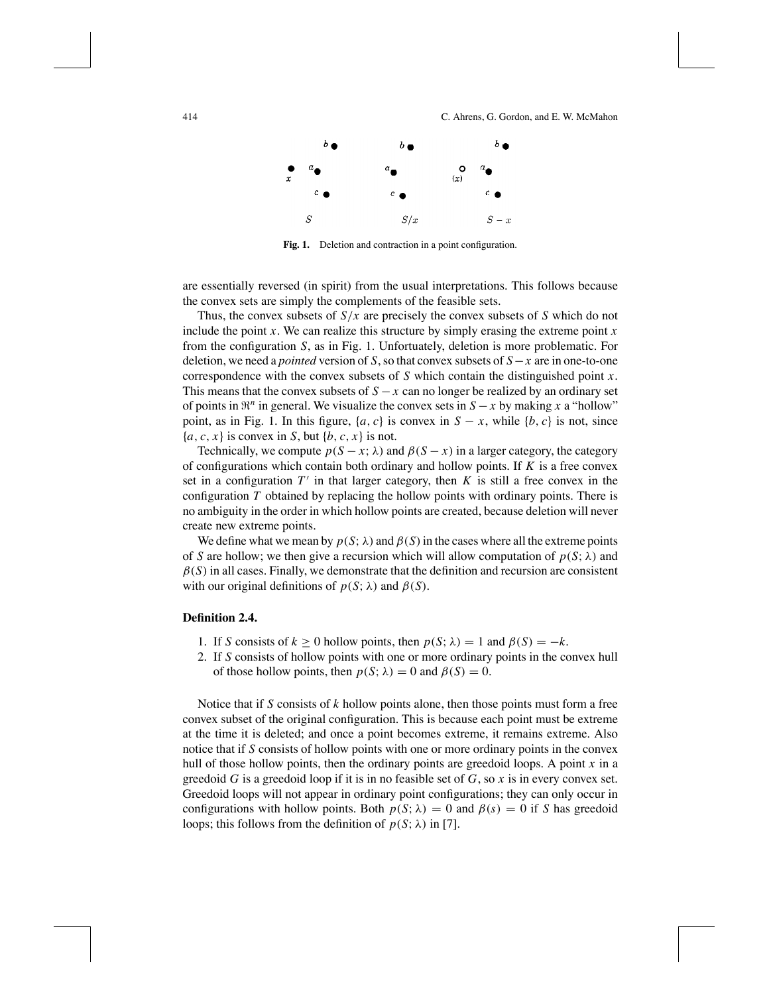

**Fig. 1.** Deletion and contraction in a point configuration.

are essentially reversed (in spirit) from the usual interpretations. This follows because the convex sets are simply the complements of the feasible sets.

Thus, the convex subsets of *S*/*x* are precisely the convex subsets of *S* which do not include the point  $x$ . We can realize this structure by simply erasing the extreme point  $x$ from the configuration *S*, as in Fig. 1. Unfortuately, deletion is more problematic. For deletion, we need a *pointed* version of *S*,so that convex subsets of *S*−*x* are in one-to-one correspondence with the convex subsets of *S* which contain the distinguished point *x*. This means that the convex subsets of  $S - x$  can no longer be realized by an ordinary set of points in  $\mathbb{R}^n$  in general. We visualize the convex sets in  $S - x$  by making x a "hollow" point, as in Fig. 1. In this figure,  $\{a, c\}$  is convex in  $S - x$ , while  $\{b, c\}$  is not, since  ${a, c, x}$  is convex in *S*, but  ${b, c, x}$  is not.

Technically, we compute  $p(S - x; \lambda)$  and  $\beta(S - x)$  in a larger category, the category of configurations which contain both ordinary and hollow points. If *K* is a free convex set in a configuration  $T'$  in that larger category, then  $K$  is still a free convex in the configuration *T* obtained by replacing the hollow points with ordinary points. There is no ambiguity in the order in which hollow points are created, because deletion will never create new extreme points.

We define what we mean by  $p(S; \lambda)$  and  $\beta(S)$  in the cases where all the extreme points of *S* are hollow; we then give a recursion which will allow computation of  $p(S; \lambda)$  and  $\beta(S)$  in all cases. Finally, we demonstrate that the definition and recursion are consistent with our original definitions of  $p(S; \lambda)$  and  $\beta(S)$ .

### **Definition 2.4.**

- 1. If *S* consists of  $k \ge 0$  hollow points, then  $p(S; \lambda) = 1$  and  $\beta(S) = -k$ .
- 2. If *S* consists of hollow points with one or more ordinary points in the convex hull of those hollow points, then  $p(S; \lambda) = 0$  and  $\beta(S) = 0$ .

Notice that if *S* consists of *k* hollow points alone, then those points must form a free convex subset of the original configuration. This is because each point must be extreme at the time it is deleted; and once a point becomes extreme, it remains extreme. Also notice that if *S* consists of hollow points with one or more ordinary points in the convex hull of those hollow points, then the ordinary points are greedoid loops. A point *x* in a greedoid *G* is a greedoid loop if it is in no feasible set of *G*, so *x* is in every convex set. Greedoid loops will not appear in ordinary point configurations; they can only occur in configurations with hollow points. Both  $p(S; \lambda) = 0$  and  $\beta(s) = 0$  if *S* has greedoid loops; this follows from the definition of  $p(S; \lambda)$  in [7].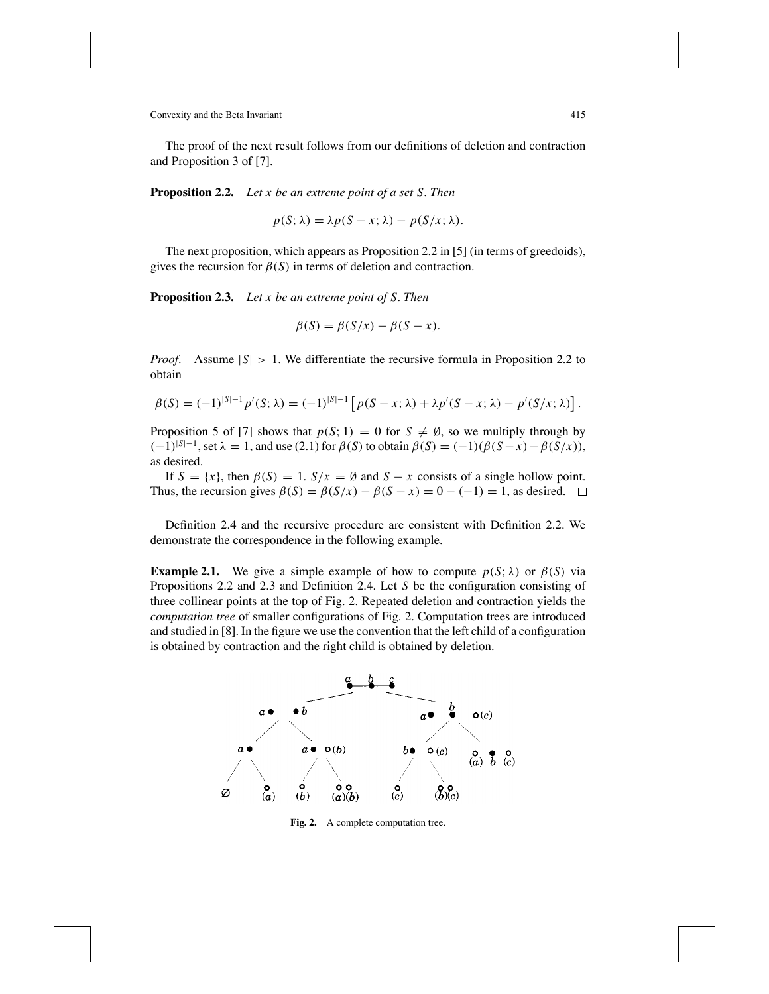The proof of the next result follows from our definitions of deletion and contraction and Proposition 3 of [7].

**Proposition 2.2.** *Let x be an extreme point of a set S*. *Then*

$$
p(S; \lambda) = \lambda p(S - x; \lambda) - p(S/x; \lambda).
$$

The next proposition, which appears as Proposition 2.2 in [5] (in terms of greedoids), gives the recursion for  $\beta(S)$  in terms of deletion and contraction.

**Proposition 2.3.** *Let x be an extreme point of S*. *Then*

$$
\beta(S) = \beta(S/x) - \beta(S - x).
$$

*Proof.* Assume  $|S| > 1$ . We differentiate the recursive formula in Proposition 2.2 to obtain

$$
\beta(S) = (-1)^{|S|-1} p'(S; \lambda) = (-1)^{|S|-1} \left[ p(S - x; \lambda) + \lambda p'(S - x; \lambda) - p'(S/x; \lambda) \right].
$$

Proposition 5 of [7] shows that  $p(S; 1) = 0$  for  $S \neq \emptyset$ , so we multiply through by  $(-1)^{|S|-1}$ , set  $\lambda = 1$ , and use (2.1) for  $\beta(S)$  to obtain  $\beta(S) = (-1)(\beta(S - x) - \beta(S/x))$ , as desired.

If  $S = \{x\}$ , then  $\beta(S) = 1$ .  $S/x = \emptyset$  and  $S - x$  consists of a single hollow point. Thus, the recursion gives  $\beta(S) = \beta(S/x) - \beta(S-x) = 0 - (-1) = 1$ , as desired.  $\Box$ 

Definition 2.4 and the recursive procedure are consistent with Definition 2.2. We demonstrate the correspondence in the following example.

**Example 2.1.** We give a simple example of how to compute  $p(S; \lambda)$  or  $\beta(S)$  via Propositions 2.2 and 2.3 and Definition 2.4. Let *S* be the configuration consisting of three collinear points at the top of Fig. 2. Repeated deletion and contraction yields the *computation tree* of smaller configurations of Fig. 2. Computation trees are introduced and studied in [8]. In the figure we use the convention that the left child of a configuration is obtained by contraction and the right child is obtained by deletion.



**Fig. 2.** A complete computation tree.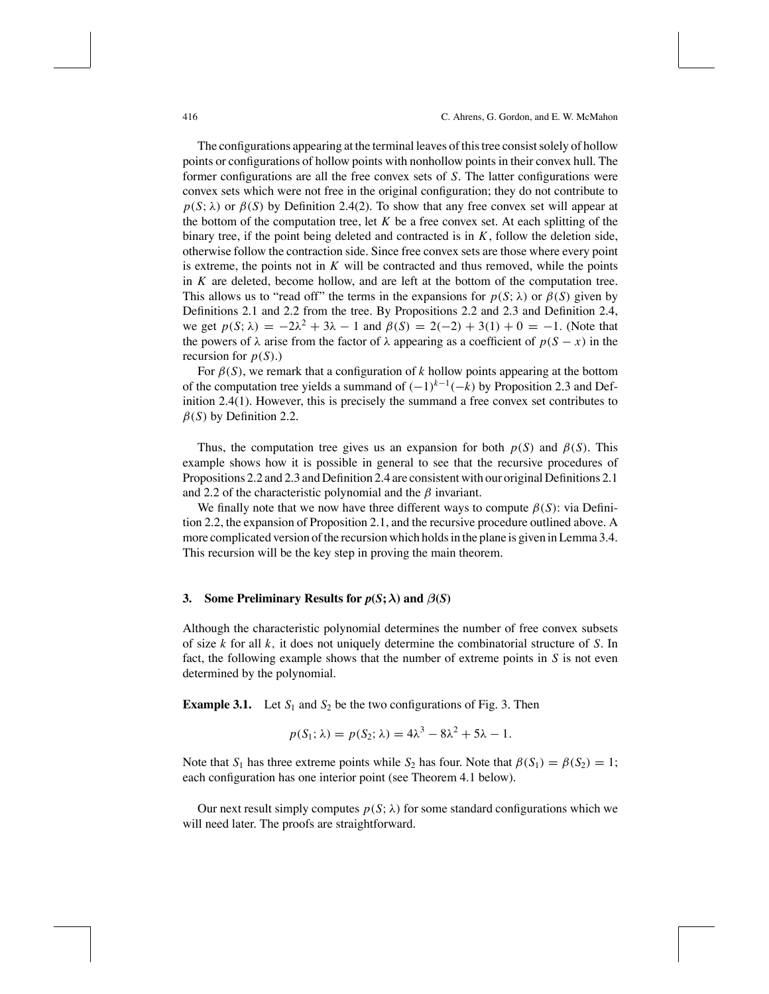The configurations appearing at the terminal leaves of this tree consists olely of hollow points or configurations of hollow points with nonhollow pointsin their convex hull. The former configurations are all the free convex sets of *S*. The latter configurations were convex sets which were not free in the original configuration; they do not contribute to  $p(S; \lambda)$  or  $\beta(S)$  by Definition 2.4(2). To show that any free convex set will appear at the bottom of the computation tree, let  $K$  be a free convex set. At each splitting of the binary tree, if the point being deleted and contracted is in *K*, follow the deletion side, otherwise follow the contraction side. Since free convex sets are those where every point is extreme, the points not in  $K$  will be contracted and thus removed, while the points in *K* are deleted, become hollow, and are left at the bottom of the computation tree. This allows us to "read off" the terms in the expansions for  $p(S; \lambda)$  or  $\beta(S)$  given by Definitions 2.1 and 2.2 from the tree. By Propositions 2.2 and 2.3 and Definition 2.4, we get  $p(S; \lambda) = -2\lambda^2 + 3\lambda - 1$  and  $\beta(S) = 2(-2) + 3(1) + 0 = -1$ . (Note that the powers of  $\lambda$  arise from the factor of  $\lambda$  appearing as a coefficient of  $p(S - x)$  in the recursion for  $p(S)$ .)

For  $\beta(S)$ , we remark that a configuration of *k* hollow points appearing at the bottom of the computation tree yields <sup>a</sup> summand of (−1)*<sup>k</sup>*−<sup>1</sup>(−*k*) by Proposition 2.3 and Definition 2.4(1). However, this is precisely the summand a free convex set contributes to  $\beta(S)$  by Definition 2.2.

Thus, the computation tree gives us an expansion for both  $p(S)$  and  $\beta(S)$ . This example shows how it is possible in general to see that the recursive procedures of Propositions 2.2 and 2.3 and Definition 2.4 are consistent with our original Definitions 2.1 and 2.2 of the characteristic polynomial and the  $\beta$  invariant.

We finally note that we now have three different ways to compute  $\beta(S)$ : via Definition 2.2, the expansion of Proposition 2.1, and the recursive procedure outlined above. A more complicated version of the recursion which holds in the plane is given in Lemma 3.4. This recursion will be the key step in proving the main theorem.

### **3. Some Preliminary Results for**  $p(S; \lambda)$  **and**  $\beta(S)$

Although the characteristic polynomial determines the number of free convex subsets of size *k* for all *k*, it does not uniquely determine the combinatorial structure of *S*. In fact, the following example shows that the number of extreme points in *S* is not even determined by the polynomial.

**Example 3.1.** Let  $S_1$  and  $S_2$  be the two configurations of Fig. 3. Then

$$
p(S_1; \lambda) = p(S_2; \lambda) = 4\lambda^3 - 8\lambda^2 + 5\lambda - 1.
$$

Note that  $S_1$  has three extreme points while  $S_2$  has four. Note that  $\beta(S_1) = \beta(S_2) = 1$ ; each configuration has one interior point (see Theorem 4.1 below).

Our next result simply computes  $p(S; \lambda)$  for some standard configurations which we will need later. The proofs are straightforward.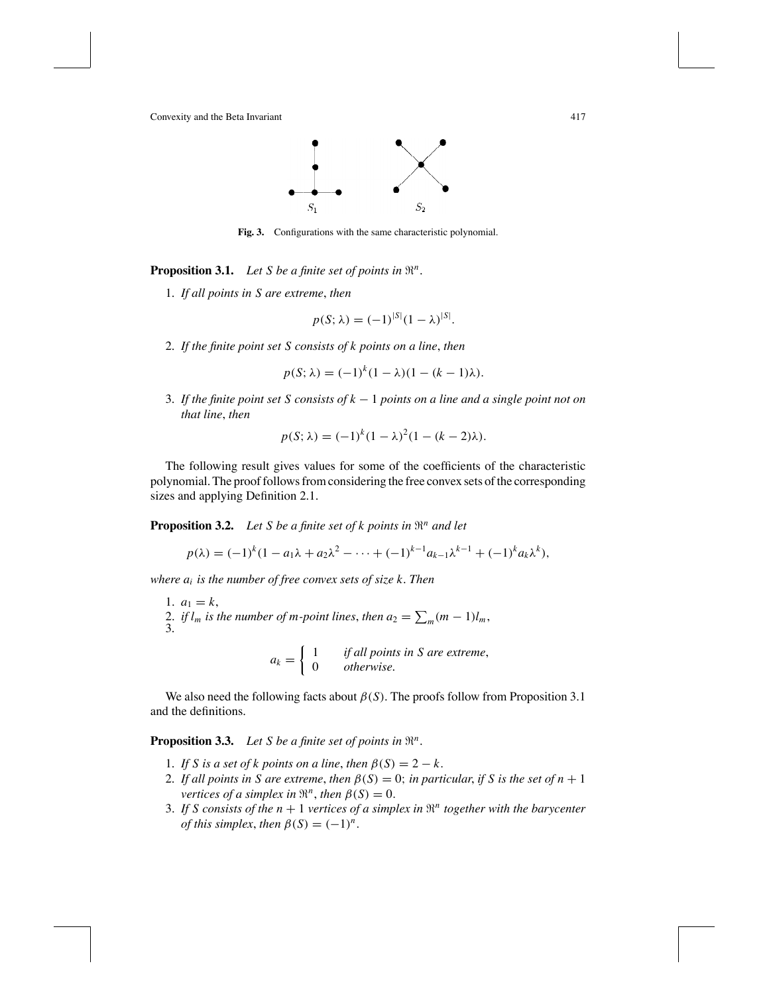

**Fig. 3.** Configurations with the same characteristic polynomial.

**Proposition 3.1.** *Let S be a finite set of points in*  $\mathbb{R}^n$ *.* 

1. *If all points in S are extreme*, *then*

$$
p(S; \lambda) = (-1)^{|S|} (1 - \lambda)^{|S|}.
$$

2. *If the finite point set S consists of k points on a line*, *then*

$$
p(S; \lambda) = (-1)^{k} (1 - \lambda)(1 - (k - 1)\lambda).
$$

3. *If the finite point set S consists of k* − 1 *points on a line and a single point not on that line*, *then*

$$
p(S; \lambda) = (-1)^{k} (1 - \lambda)^{2} (1 - (k - 2)\lambda).
$$

The following result gives values for some of the coefficients of the characteristic polynomial. The proof follows from considering the free convex sets of the corresponding sizes and applying Definition 2.1.

**Proposition 3.2.** *Let <sup>S</sup> be <sup>a</sup> finite set of <sup>k</sup> points in* "*<sup>n</sup> and let*

$$
p(\lambda) = (-1)^{k} (1 - a_1 \lambda + a_2 \lambda^2 - \dots + (-1)^{k-1} a_{k-1} \lambda^{k-1} + (-1)^{k} a_k \lambda^k),
$$

*where ai is the number of free convex sets of size k*. *Then*

1.  $a_1 = k$ , 2. *if*  $l_m$  *is the number of m-point lines, then*  $a_2 = \sum_m (m-1)l_m$ , 3.

$$
a_k = \begin{cases} 1 & \text{if all points in } S \text{ are extreme,} \\ 0 & \text{otherwise.} \end{cases}
$$

We also need the following facts about  $\beta(S)$ . The proofs follow from Proposition 3.1 and the definitions.

**Proposition 3.3.** *Let S be a finite set of points in*  $\mathbb{R}^n$ *.* 

- 1. *If S is a set of k points on a line*, *then*  $\beta(S) = 2 k$ .
- 2. If all points in S are extreme, then  $\beta(S) = 0$ ; in particular, if S is the set of  $n + 1$ *vertices of a simplex in*  $\mathbb{R}^n$ *, then*  $\beta(S) = 0$ *.*
- 3. If *S* consists of the  $n + 1$  vertices of a simplex in  $\mathbb{R}^n$  together with the barycenter *of this simplex, then*  $\beta(S) = (-1)^n$ .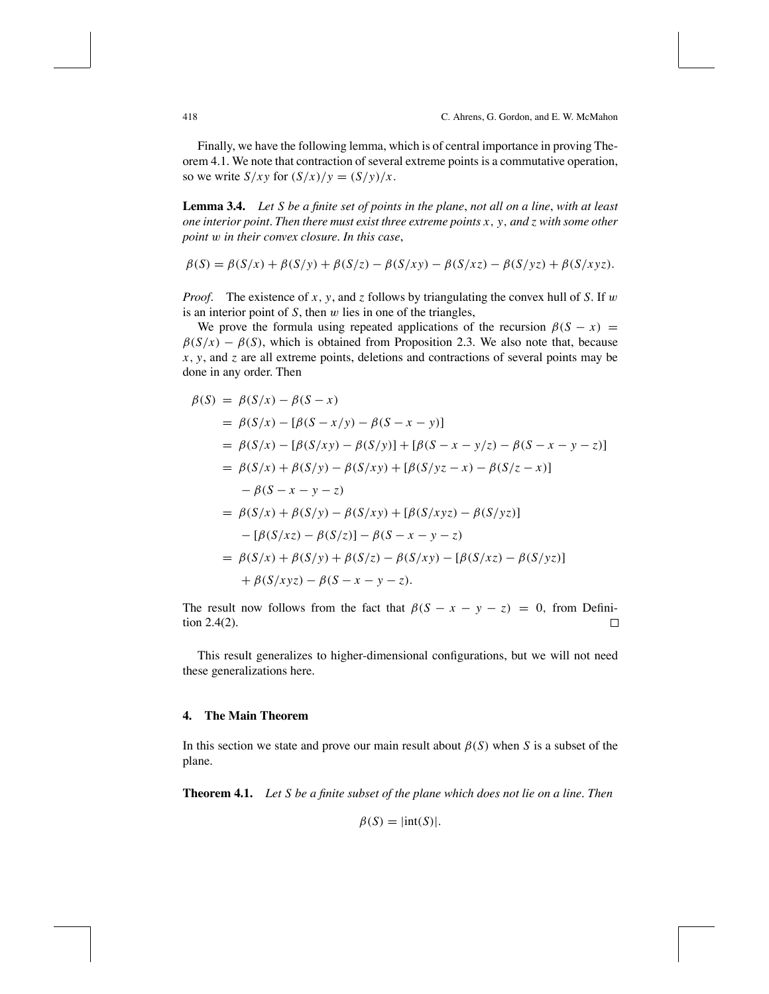Finally, we have the following lemma, which is of central importance in proving Theorem 4.1. We note that contraction of several extreme points is a commutative operation, so we write  $S/xy$  for  $(S/x)/y = (S/y)/x$ .

**Lemma 3.4.** Let S be a finite set of points in the plane, not all on a line, with at least *one interior point*. *Then there must exist three extreme points x*, *y*, *and z with some other point* w *in their convex closure*. *In this case*,

$$
\beta(S) = \beta(S/x) + \beta(S/y) + \beta(S/z) - \beta(S/xy) - \beta(S/xz) - \beta(S/yz) + \beta(S/xyz).
$$

*Proof*. The existence of *x*, *y*, and *z* follows by triangulating the convex hull of *S*. If w is an interior point of  $S$ , then  $w$  lies in one of the triangles,

We prove the formula using repeated applications of the recursion  $\beta(S - x)$  =  $\beta(S/x) - \beta(S)$ , which is obtained from Proposition 2.3. We also note that, because *x*, *y*, and *z* are all extreme points, deletions and contractions of several points may be done in any order. Then

$$
\begin{aligned}\n\beta(S) &= \beta(S/x) - \beta(S - x) \\
&= \beta(S/x) - [\beta(S - x/y) - \beta(S - x - y)] \\
&= \beta(S/x) - [\beta(S/xy) - \beta(S/y)] + [\beta(S - x - y/z) - \beta(S - x - y - z)] \\
&= \beta(S/x) + \beta(S/y) - \beta(S/xy) + [\beta(S/yz - x) - \beta(S/z - x)] \\
&- \beta(S - x - y - z) \\
&= \beta(S/x) + \beta(S/y) - \beta(S/xy) + [\beta(S/xyz) - \beta(S/yz)] \\
&- [\beta(S/xz) - \beta(S/z)] - \beta(S - x - y - z) \\
&= \beta(S/x) + \beta(S/y) + \beta(S/z) - \beta(S/xy) - [\beta(S/xz) - \beta(S/yz)] \\
&+ \beta(S/xyz) - \beta(S - x - y - z).\n\end{aligned}
$$

The result now follows from the fact that  $\beta(S - x - y - z) = 0$ , from Definition 2.4(2). tion 2.4(2).

This result generalizes to higher-dimensional configurations, but we will not need these generalizations here.

## **4. The Main Theorem**

In this section we state and prove our main result about  $\beta(S)$  when *S* is a subset of the plane.

**Theorem 4.1.** *Let S be a finite subset of the plane which does not lie on a line*. *Then*

$$
\beta(S) = |\text{int}(S)|.
$$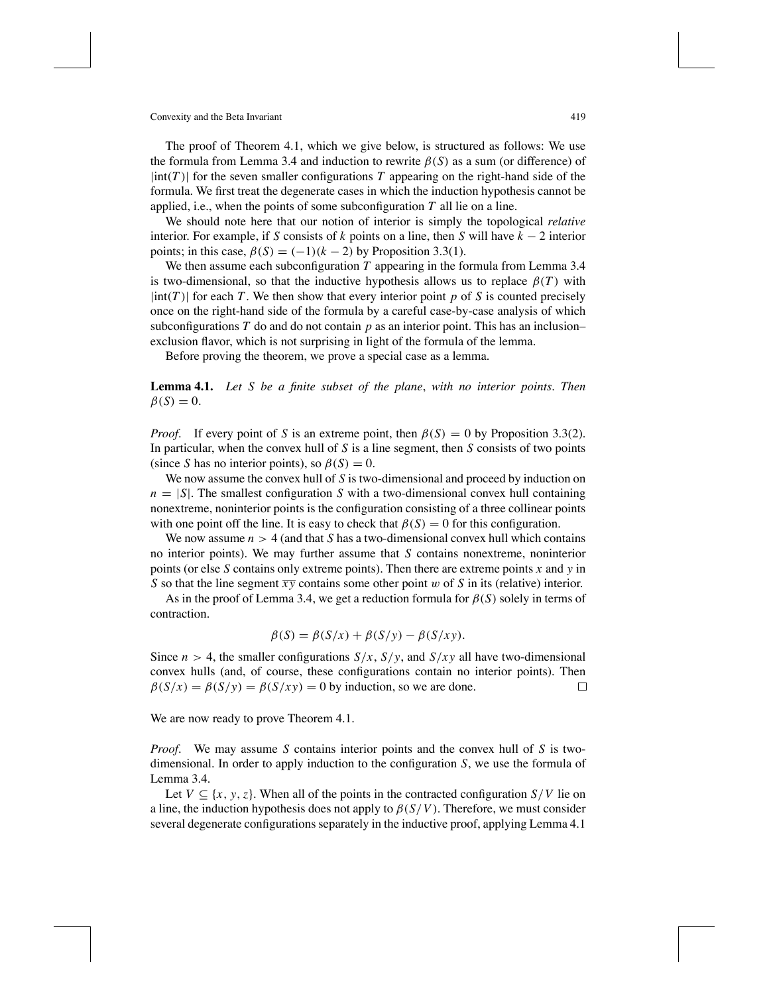The proof of Theorem 4.1, which we give below, is structured as follows: We use the formula from Lemma 3.4 and induction to rewrite  $\beta(S)$  as a sum (or difference) of  $|\text{int}(T)|$  for the seven smaller configurations *T* appearing on the right-hand side of the formula. We first treat the degenerate cases in which the induction hypothesis cannot be applied, i.e., when the points of some subconfiguration *T* all lie on a line.

We should note here that our notion of interior is simply the topological *relative* interior. For example, if *S* consists of *k* points on a line, then *S* will have *k* − 2 interior points; in this case,  $\beta(S) = (-1)(k-2)$  by Proposition 3.3(1).

We then assume each subconfiguration *T* appearing in the formula from Lemma 3.4 is two-dimensional, so that the inductive hypothesis allows us to replace  $\beta(T)$  with  $|\text{int}(T)|$  for each *T*. We then show that every interior point *p* of *S* is counted precisely once on the right-hand side of the formula by a careful case-by-case analysis of which subconfigurations  $T$  do and do not contain  $p$  as an interior point. This has an inclusion– exclusion flavor, which is not surprising in light of the formula of the lemma.

Before proving the theorem, we prove a special case as a lemma.

**Lemma 4.1.** *Let S be a finite subset of the plane*, *with no interior points*. *Then*  $\beta(S) = 0.$ 

*Proof.* If every point of *S* is an extreme point, then  $\beta(S) = 0$  by Proposition 3.3(2). In particular, when the convex hull of *S* is a line segment, then *S* consists of two points (since *S* has no interior points), so  $\beta(S) = 0$ .

We now assume the convex hull of *S* is two-dimensional and proceed by induction on  $n = |S|$ . The smallest configuration *S* with a two-dimensional convex hull containing nonextreme, noninterior points is the configuration consisting of a three collinear points with one point off the line. It is easy to check that  $\beta(S) = 0$  for this configuration.

We now assume  $n > 4$  (and that S has a two-dimensional convex hull which contains no interior points). We may further assume that *S* contains nonextreme, noninterior points (or else *S* contains only extreme points). Then there are extreme points *x* and *y* in *S* so that the line segment  $\overline{xy}$  contains some other point w of *S* in its (relative) interior.

As in the proof of Lemma 3.4, we get a reduction formula for  $\beta(S)$  solely in terms of contraction.

$$
\beta(S) = \beta(S/x) + \beta(S/y) - \beta(S/xy).
$$

Since  $n > 4$ , the smaller configurations  $S/x$ ,  $S/y$ , and  $S/xy$  all have two-dimensional convex hulls (and, of course, these configurations contain no interior points). Then  $\beta(S/x) = \beta(S/y) = \beta(S/xy) = 0$  by induction, so we are done. П

We are now ready to prove Theorem 4.1.

*Proof*. We may assume *S* contains interior points and the convex hull of *S* is twodimensional. In order to apply induction to the configuration *S*, we use the formula of Lemma 3.4.

Let  $V \subseteq \{x, y, z\}$ . When all of the points in the contracted configuration  $S/V$  lie on a line, the induction hypothesis does not apply to  $\beta(S/V)$ . Therefore, we must consider several degenerate configurations separately in the inductive proof, applying Lemma 4.1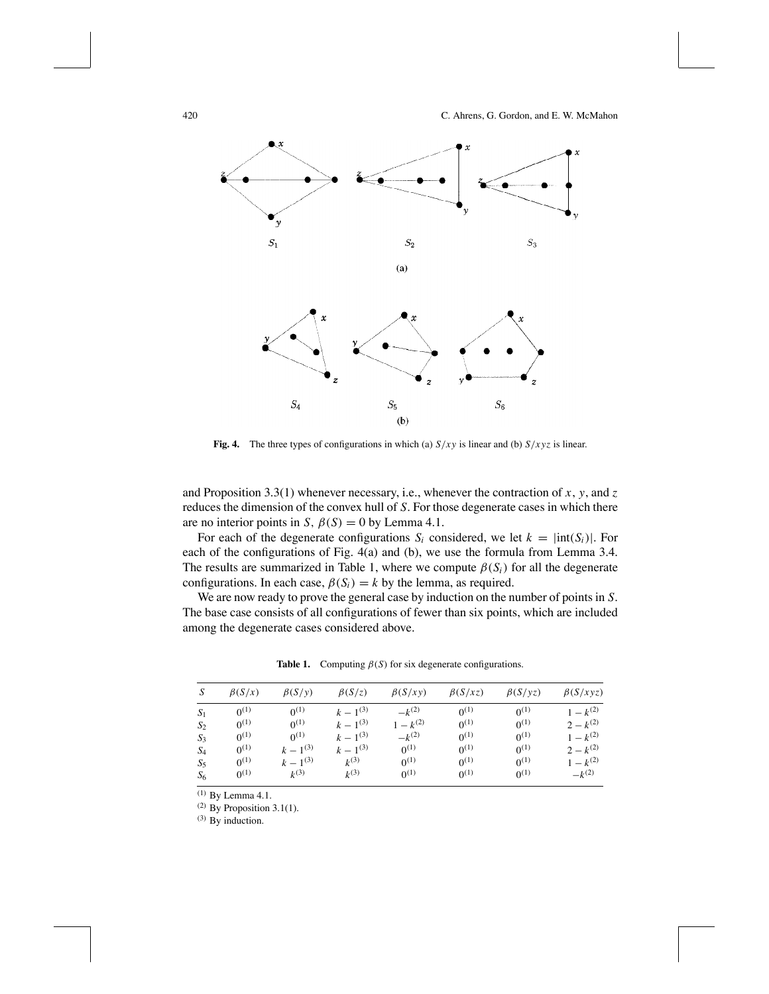

**Fig. 4.** The three types of configurations in which (a)  $S/xy$  is linear and (b)  $S/xyz$  is linear.

and Proposition 3.3(1) whenever necessary, i.e., whenever the contraction of *x*, *y*, and *z* reduces the dimension of the convex hull of *S*. For those degenerate cases in which there are no interior points in *S*,  $\beta(S) = 0$  by Lemma 4.1.

For each of the degenerate configurations  $S_i$  considered, we let  $k = |int(S_i)|$ . For each of the configurations of Fig. 4(a) and (b), we use the formula from Lemma 3.4. The results are summarized in Table 1, where we compute  $\beta(S_i)$  for all the degenerate configurations. In each case,  $\beta(S_i) = k$  by the lemma, as required.

We are now ready to prove the general case by induction on the number of points in *S*. The base case consists of all configurations of fewer than six points, which are included among the degenerate cases considered above.

| S     | $\beta(S/x)$ | $\beta(S/\nu)$ | $\beta(S/z)$  | $\beta(S/xy)$ | $\beta(S/xz)$ | $\beta(S/\nu z)$ | $\beta(S/xyz)$ |
|-------|--------------|----------------|---------------|---------------|---------------|------------------|----------------|
| $S_1$ | $0^{(1)}$    | $0^{(1)}$      | $k-1^{(3)}$   | $-k^{(2)}$    | $0^{(1)}$     | $0^{(1)}$        | $1 - k^{(2)}$  |
| $S_2$ | $0^{(1)}$    | $0^{(1)}$      | $k-1^{(3)}$   | $1 - k^{(2)}$ | $0^{(1)}$     | $0^{(1)}$        | $2 - k^{(2)}$  |
| $S_3$ | $0^{(1)}$    | $0^{(1)}$      | $k = 1^{(3)}$ | $-k^{(2)}$    | $0^{(1)}$     | $0^{(1)}$        | $1 - k^{(2)}$  |
| $S_4$ | $0^{(1)}$    | $k-1^{(3)}$    | $k-1^{(3)}$   | $0^{(1)}$     | $0^{(1)}$     | $0^{(1)}$        | $2 - k^{(2)}$  |
| $S_5$ | $0^{(1)}$    | $k-1^{(3)}$    | $k^{(3)}$     | $0^{(1)}$     | $0^{(1)}$     | $0^{(1)}$        | $1 - k^{(2)}$  |
| $S_6$ | $0^{(1)}$    | $k^{(3)}$      | $k^{(3)}$     | $0^{(1)}$     | $0^{(1)}$     | $0^{(1)}$        | $-k^{(2)}$     |

**Table 1.** Computing  $\beta(S)$  for six degenerate configurations.

(1) By Lemma 4.1.

<sup>(2)</sup> By Proposition 3.1(1).

(3) By induction.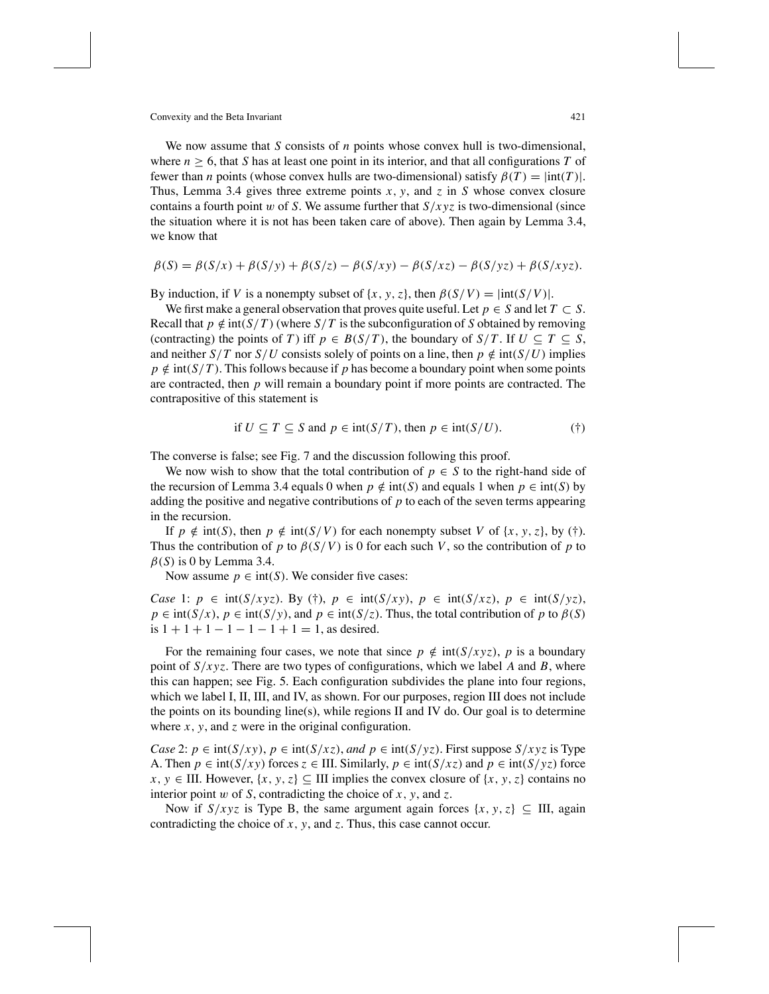Convexity and the Beta Invariant 421

We now assume that *S* consists of *n* points whose convex hull is two-dimensional, where  $n \geq 6$ , that *S* has at least one point in its interior, and that all configurations *T* of fewer than *n* points (whose convex hulls are two-dimensional) satisfy  $β(T) = |int(T)|$ . Thus, Lemma 3.4 gives three extreme points *x*, *y*, and *z* in *S* whose convex closure contains a fourth point w of *S*. We assume further that  $S/xyz$  is two-dimensional (since the situation where it is not has been taken care of above). Then again by Lemma 3.4, we know that

$$
\beta(S) = \beta(S/x) + \beta(S/y) + \beta(S/z) - \beta(S/xy) - \beta(S/xz) - \beta(S/yz) + \beta(S/xyz).
$$

By induction, if *V* is a nonempty subset of {*x*, *y*, *z*}, then  $\beta(S/V) = |int(S/V)|$ .

We first make a general observation that proves quite useful. Let  $p \in S$  and let  $T \subset S$ . Recall that  $p \notin \text{int}(S/T)$  (where  $S/T$  is the subconfiguration of *S* obtained by removing (contracting) the points of *T*) iff  $p \in B(S/T)$ , the boundary of  $S/T$ . If  $U \subseteq T \subseteq S$ , and neither  $S/T$  nor  $S/U$  consists solely of points on a line, then  $p \notin int(S/U)$  implies  $p \notin \text{int}(S/T)$ . This follows because if *p* has become a boundary point when some points are contracted, then *p* will remain a boundary point if more points are contracted. The contrapositive of this statement is

if 
$$
U \subseteq T \subseteq S
$$
 and  $p \in \text{int}(S/T)$ , then  $p \in \text{int}(S/U)$ . (†)

The converse is false; see Fig. 7 and the discussion following this proof.

We now wish to show that the total contribution of  $p \in S$  to the right-hand side of the recursion of Lemma 3.4 equals 0 when  $p \notin \text{int}(S)$  and equals 1 when  $p \in \text{int}(S)$  by adding the positive and negative contributions of *p* to each of the seven terms appearing in the recursion.

If  $p \notin \text{int}(S)$ , then  $p \notin \text{int}(S/V)$  for each nonempty subset *V* of {*x*, *y*, *z*}, by (†). Thus the contribution of *p* to  $\beta(S/V)$  is 0 for each such *V*, so the contribution of *p* to  $\beta(S)$  is 0 by Lemma 3.4.

Now assume  $p \in \text{int}(S)$ . We consider five cases:

*Case* 1:  $p \in \text{int}(S/xyz)$ . By (†),  $p \in \text{int}(S/xy)$ ,  $p \in \text{int}(S/xz)$ ,  $p \in \text{int}(S/yz)$ ,  $p \in \text{int}(S/x)$ ,  $p \in \text{int}(S/y)$ , and  $p \in \text{int}(S/z)$ . Thus, the total contribution of *p* to  $\beta(S)$ is  $1 + 1 + 1 - 1 - 1 - 1 + 1 = 1$ , as desired.

For the remaining four cases, we note that since  $p \notin \text{int}(S/xyz)$ , *p* is a boundary point of  $S/xyz$ . There are two types of configurations, which we label *A* and *B*, where this can happen; see Fig. 5. Each configuration subdivides the plane into four regions, which we label I, II, III, and IV, as shown. For our purposes, region III does not include the points on its bounding line(s), while regions II and IV do. Our goal is to determine where *x*, *y*, and *z* were in the original configuration.

*Case* 2:  $p \in \text{int}(S/xy)$ ,  $p \in \text{int}(S/xz)$ , and  $p \in \text{int}(S/yz)$ . First suppose  $S/xyz$  is Type A. Then  $p \in \text{int}(S/xy)$  forces  $z \in \text{III}$ . Similarly,  $p \in \text{int}(S/xz)$  and  $p \in \text{int}(S/yz)$  force *x*, *y* ∈ III. However, {*x*, *y*, *z*} ⊆ III implies the convex closure of {*x*, *y*, *z*} contains no interior point w of *S*, contradicting the choice of *x*, *y*, and *z*.

Now if  $S/xyz$  is Type B, the same argument again forces  $\{x, y, z\} \subseteq \Pi I$ , again contradicting the choice of *x*, *y*, and *z*. Thus, this case cannot occur.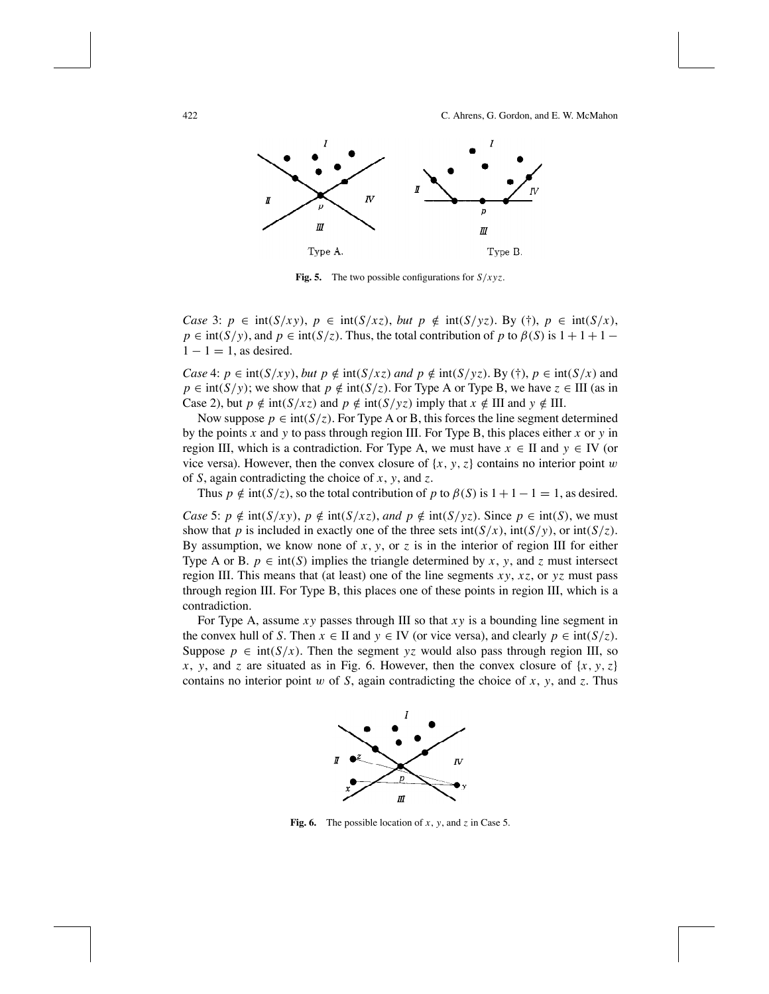

**Fig. 5.** The two possible configurations for  $S / xyz$ .

*Case* 3:  $p \in \text{int}(S/xy)$ ,  $p \in \text{int}(S/xz)$ , *but*  $p \notin \text{int}(S/yz)$ . By (†),  $p \in \text{int}(S/x)$ ,  $p \in \text{int}(S/y)$ , and  $p \in \text{int}(S/z)$ . Thus, the total contribution of *p* to  $\beta(S)$  is  $1 + 1 + 1 1 - 1 = 1$ , as desired.

*Case* 4:  $p \in \text{int}(S/xy)$ , *but*  $p \notin \text{int}(S/xz)$  *and*  $p \notin \text{int}(S/yz)$ . By (†),  $p \in \text{int}(S/x)$  and  $p \in \text{int}(S/y)$ ; we show that  $p \notin \text{int}(S/z)$ . For Type A or Type B, we have  $z \in III$  (as in Case 2), but  $p \notin \text{int}(S/xz)$  and  $p \notin \text{int}(S/yz)$  imply that  $x \notin \text{III}$  and  $y \notin \text{III}$ .

Now suppose  $p \in \text{int}(S/\zeta)$ . For Type A or B, this forces the line segment determined by the points *x* and *y* to pass through region III. For Type B, this places either *x* or *y* in region III, which is a contradiction. For Type A, we must have  $x \in$  II and  $y \in$  IV (or vice versa). However, then the convex closure of  $\{x, y, z\}$  contains no interior point w of *S*, again contradicting the choice of *x*, *y*, and *z*.

Thus  $p \notin \text{int}(S/\overline{z})$ , so the total contribution of *p* to  $\beta(S)$  is  $1+1-1=1$ , as desired.

*Case* 5:  $p \notin \text{int}(S/\chi y)$ ,  $p \notin \text{int}(S/\chi z)$ , *and*  $p \notin \text{int}(S/\gamma z)$ . Since  $p \in \text{int}(S)$ , we must show that *p* is included in exactly one of the three sets int( $S/x$ ),  $int(S/y)$ , or  $int(S/z)$ . By assumption, we know none of  $x$ ,  $y$ , or  $z$  is in the interior of region III for either Type A or B.  $p \in \text{int}(S)$  implies the triangle determined by x, y, and z must intersect region III. This means that (at least) one of the line segments  $xy$ ,  $xz$ , or  $yz$  must pass through region III. For Type B, this places one of these points in region III, which is a contradiction.

For Type A, assume *xy* passes through III so that *xy* is a bounding line segment in the convex hull of *S*. Then  $x \in \Pi$  and  $y \in \text{IV}$  (or vice versa), and clearly  $p \in \text{int}(S/\overline{z})$ . Suppose  $p \in \text{int}(S/x)$ . Then the segment *yz* would also pass through region III, so *x*, *y*, and *z* are situated as in Fig. 6. However, then the convex closure of  $\{x, y, z\}$ contains no interior point w of *S*, again contradicting the choice of *x*, *y*, and *z*. Thus



**Fig. 6.** The possible location of *x*, *y*, and *z* in Case 5.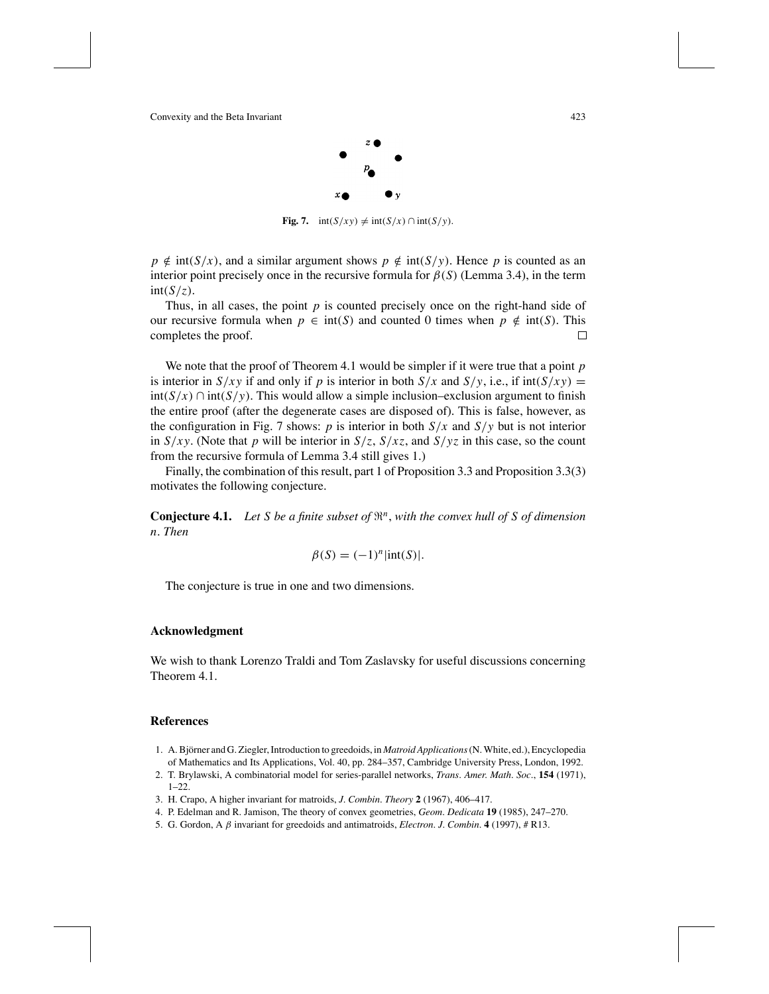

**Fig. 7.**  $int(S/xy) \neq int(S/x) \cap int(S/y)$ .

 $p \notin int(S/x)$ , and a similar argument shows  $p \notin int(S/y)$ . Hence *p* is counted as an interior point precisely once in the recursive formula for  $\beta(S)$  (Lemma 3.4), in the term  $int(S/z)$ .

Thus, in all cases, the point *p* is counted precisely once on the right-hand side of our recursive formula when *p* ∈ int(*S*) and counted 0 times when *p* ∉ int(*S*). This completes the proof. completes the proof.

We note that the proof of Theorem 4.1 would be simpler if it were true that a point *p* is interior in  $S/xy$  if and only if *p* is interior in both  $S/x$  and  $S/y$ , i.e., if int( $S/xy$ ) = int(*S*/*x*) ∩ int(*S*/*y*). This would allow a simple inclusion–exclusion argument to finish the entire proof (after the degenerate cases are disposed of). This is false, however, as the configuration in Fig. 7 shows: *p* is interior in both  $S/x$  and  $S/y$  but is not interior in  $S/xy$ . (Note that *p* will be interior in  $S/z$ ,  $S/xz$ , and  $S/yz$  in this case, so the count from the recursive formula of Lemma 3.4 still gives 1.)

Finally, the combination of this result, part 1 of Proposition 3.3 and Proposition 3.3(3) motivates the following conjecture.

**Conjecture 4.1.** Let *S* be a finite subset of  $\mathbb{R}^n$ , with the convex hull of *S* of dimension *n*. *Then*

$$
\beta(S) = (-1)^n |\text{int}(S)|.
$$

The conjecture is true in one and two dimensions.

#### **Acknowledgment**

We wish to thank Lorenzo Traldi and Tom Zaslavsky for useful discussions concerning Theorem 4.1.

#### **References**

- 1. A. Björner and G. Ziegler, Introduction to greedoids, in *Matroid Applications* (N. White, ed.), Encyclopedia of Mathematics and Its Applications, Vol. 40, pp. 284–357, Cambridge University Press, London, 1992.
- 2. T. Brylawski, A combinatorial model for series-parallel networks, *Trans*. *Amer*. *Math*. *Soc*., **154** (1971), 1–22.
- 3. H. Crapo, A higher invariant for matroids, *J*. *Combin*. *Theory* **2** (1967), 406–417.
- 4. P. Edelman and R. Jamison, The theory of convex geometries, *Geom*. *Dedicata* **19** (1985), 247–270.
- 5. G. Gordon, A β invariant for greedoids and antimatroids, *Electron*. *J*. *Combin*. **4** (1997), # R13.